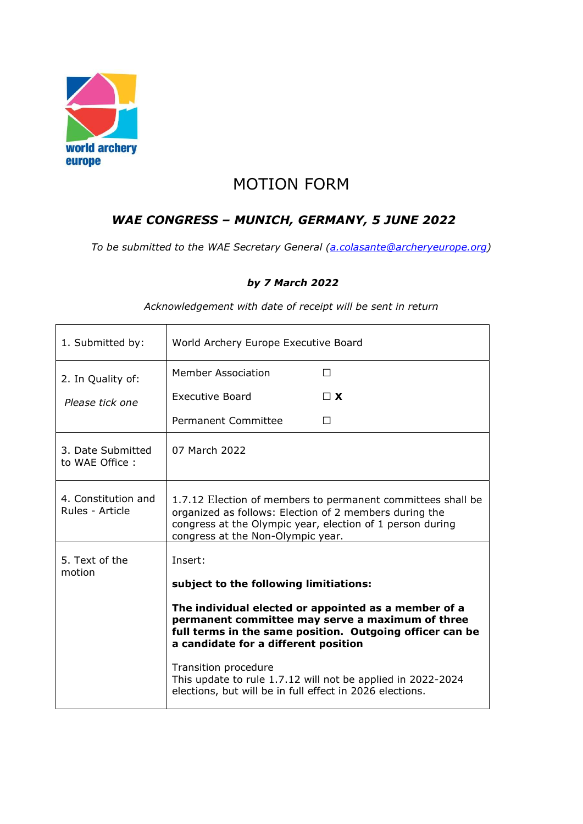

## MOTION FORM

## WAE CONGRESS – MUNICH, GERMANY, 5 JUNE 2022

To be submitted to the WAE Secretary General (a.colasante@archeryeurope.org)

## by 7 March 2022

| 1. Submitted by:                       | World Archery Europe Executive Board                                                                                                                                                                                    |                                                             |
|----------------------------------------|-------------------------------------------------------------------------------------------------------------------------------------------------------------------------------------------------------------------------|-------------------------------------------------------------|
| 2. In Quality of:                      | <b>Member Association</b>                                                                                                                                                                                               | $\perp$                                                     |
| Please tick one                        | Executive Board                                                                                                                                                                                                         | $\Box$ X                                                    |
|                                        | Permanent Committee                                                                                                                                                                                                     | П                                                           |
| 3. Date Submitted<br>to WAE Office:    | 07 March 2022                                                                                                                                                                                                           |                                                             |
| 4. Constitution and<br>Rules - Article | 1.7.12 Election of members to permanent committees shall be<br>organized as follows: Election of 2 members during the<br>congress at the Olympic year, election of 1 person during<br>congress at the Non-Olympic year. |                                                             |
| 5. Text of the<br>motion               | Insert:<br>subject to the following limitiations:                                                                                                                                                                       |                                                             |
|                                        | The individual elected or appointed as a member of a<br>permanent committee may serve a maximum of three<br>full terms in the same position. Outgoing officer can be<br>a candidate for a different position            |                                                             |
|                                        | Transition procedure<br>elections, but will be in full effect in 2026 elections.                                                                                                                                        | This update to rule 1.7.12 will not be applied in 2022-2024 |

Acknowledgement with date of receipt will be sent in return